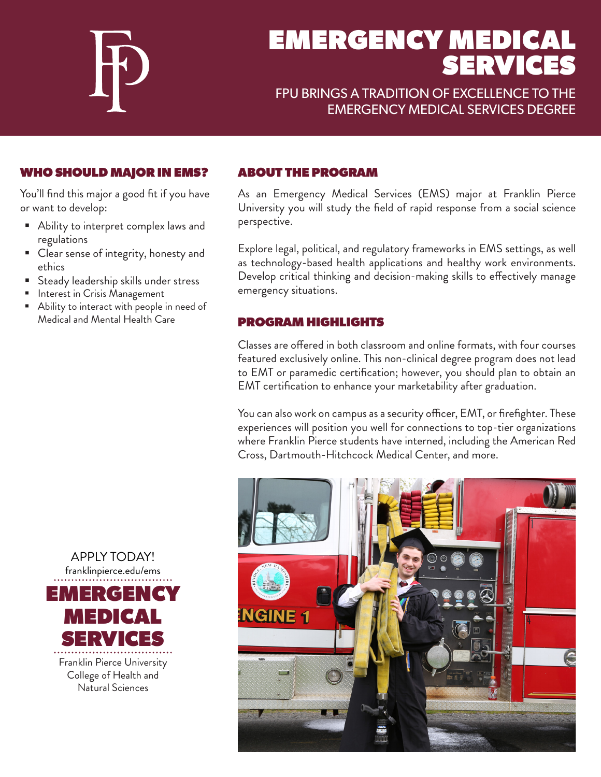

# EMERGENCY MEDICAL SERVICES

# FPU BRINGS A TRADITION OF EXCELLENCE TO THE EMERGENCY MEDICAL SERVICES DEGREE

## WHO SHOULD MAJOR IN EMS?

You'll find this major a good fit if you have or want to develop:

- Ability to interpret complex laws and regulations
- **Clear sense of integrity, honesty and** ethics
- **Steady leadership skills under stress**
- **Interest in Crisis Management**
- Ability to interact with people in need of Medical and Mental Health Care

#### ABOUT THE PROGRAM

As an Emergency Medical Services (EMS) major at Franklin Pierce University you will study the field of rapid response from a social science perspective.

Explore legal, political, and regulatory frameworks in EMS settings, as well as technology-based health applications and healthy work environments. Develop critical thinking and decision-making skills to effectively manage emergency situations.

#### PROGRAM HIGHLIGHTS

Classes are offered in both classroom and online formats, with four courses featured exclusively online. This non-clinical degree program does not lead to EMT or paramedic certification; however, you should plan to obtain an EMT certification to enhance your marketability after graduation.

You can also work on campus as a security officer, EMT, or firefighter. These experiences will position you well for connections to top-tier organizations where Franklin Pierce students have interned, including the American Red Cross, Dartmouth-Hitchcock Medical Center, and more.





Natural Sciences